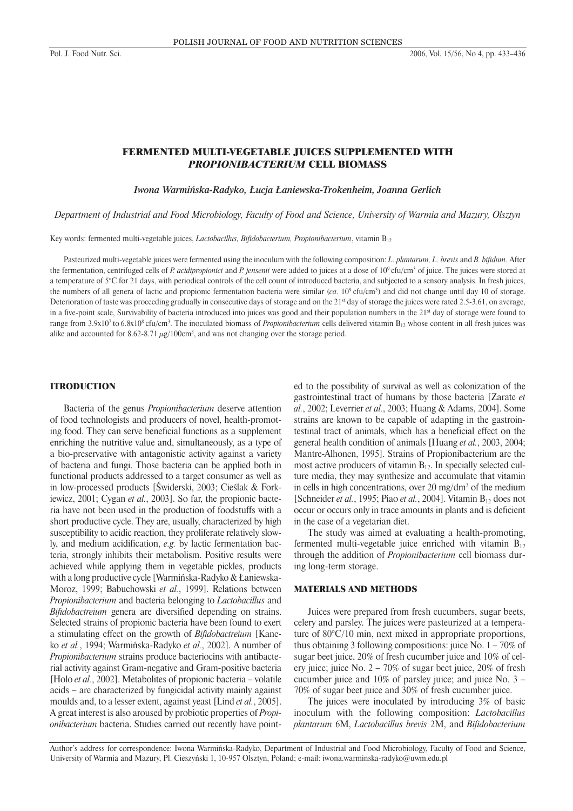# FERMENTED MULTI-VEGETABLE JUICES SUPPLEMENTED WITH *PROPIONIBACTERIUM* CELL BIOMASS

*Iwona Warmińska-Radyko, Łucja Łaniewska-Trokenheim, Joanna Gerlich*

*Department of Industrial and Food Microbiology, Faculty of Food and Science, University of Warmia and Mazury, Olsztyn*

Key words: fermented multi-vegetable juices, *Lactobacillus, Bifidobacterium, Propionibacterium*, vitamin B<sub>12</sub>

Pasteurized multi-vegetable juices were fermented using the inoculum with the following composition: *L. plantarum, L. brevis* and *B. bifidum*. After the fermentation, centrifuged cells of *P. acidipropionici* and *P. jensenii* were added to juices at a dose of 10<sup>9</sup> cfu/cm<sup>3</sup> of juice. The juices were stored at a temperature of 5°C for 21 days, with periodical controls of the cell count of introduced bacteria, and subjected to a sensory analysis. In fresh juices, the numbers of all genera of lactic and propionic fermentation bacteria were similar (*ca*. 109 cfu/cm3 ) and did not change until day 10 of storage. Deterioration of taste was proceeding gradually in consecutive days of storage and on the 21<sup>st</sup> day of storage the juices were rated 2.5-3.61, on average, in a five-point scale, Survivability of bacteria introduced into juices was good and their population numbers in the 21<sup>st</sup> day of storage were found to range from  $3.9x10<sup>7</sup>$  to  $6.8x10<sup>8</sup>$  cfu/cm<sup>3</sup>. The inoculated biomass of *Propionibacterium* cells delivered vitamin  $B_{12}$  whose content in all fresh juices was alike and accounted for 8.62-8.71  $\mu$ g/100cm<sup>3</sup>, and was not changing over the storage period.

#### **ITRODUCTION**

Bacteria of the genus *Propionibacterium* deserve attention of food technologists and producers of novel, health-promoting food. They can serve beneficial functions as a supplement enriching the nutritive value and, simultaneously, as a type of a bio-preservative with antagonistic activity against a variety of bacteria and fungi. Those bacteria can be applied both in functional products addressed to a target consumer as well as in low-processed products [Świderski, 2003; Cieślak & Forkiewicz, 2001; Cygan *et al.*, 2003]. So far, the propionic bacteria have not been used in the production of foodstuffs with a short productive cycle. They are, usually, characterized by high susceptibility to acidic reaction, they proliferate relatively slowly, and medium acidification, *e.g.* by lactic fermentation bacteria, strongly inhibits their metabolism. Positive results were achieved while applying them in vegetable pickles, products with a long productive cycle [Warmińska-Radyko & Łaniewska-Moroz, 1999; Babuchowski *et al.*, 1999]. Relations between *Propionibacterium* and bacteria belonging to *Lactobacillus* and *Bifidobactreium* genera are diversified depending on strains. Selected strains of propionic bacteria have been found to exert a stimulating effect on the growth of *Bifidobactreium* [Kaneko *et al.*, 1994; Warmińska-Radyko *et al.*, 2002]. A number of *Propionibacterium* strains produce bacteriocins with antibacterial activity against Gram-negative and Gram-positive bacteria [Holo *et al.*, 2002]. Metabolites of propionic bacteria – volatile acids – are characterized by fungicidal activity mainly against moulds and, to a lesser extent, against yeast [Lind *et al.*, 2005]. A great interest is also aroused by probiotic properties of *Propionibacterium* bacteria. Studies carried out recently have pointed to the possibility of survival as well as colonization of the gastrointestinal tract of humans by those bacteria [Zarate *et al.*, 2002; Leverrier *et al.*, 2003; Huang & Adams, 2004]. Some strains are known to be capable of adapting in the gastrointestinal tract of animals, which has a beneficial effect on the general health condition of animals [Huang *et al.*, 2003, 2004; Mantre-Alhonen, 1995]. Strains of Propionibacterium are the most active producers of vitamin  $B_{12}$ . In specially selected culture media, they may synthesize and accumulate that vitamin in cells in high concentrations, over 20 mg/ $dm<sup>3</sup>$  of the medium [Schneider *et al.*, 1995; Piao *et al.*, 2004]. Vitamin  $B_{12}$  does not occur or occurs only in trace amounts in plants and is deficient in the case of a vegetarian diet.

The study was aimed at evaluating a health-promoting, fermented multi-vegetable juice enriched with vitamin  $B_{12}$ through the addition of *Propionibacterium* cell biomass during long-term storage.

### MATERIALS AND METHODS

Juices were prepared from fresh cucumbers, sugar beets, celery and parsley. The juices were pasteurized at a temperature of 80°C/10 min, next mixed in appropriate proportions, thus obtaining 3 following compositions: juice No.  $1 - 70\%$  of sugar beet juice, 20% of fresh cucumber juice and 10% of celery juice; juice No. 2 – 70% of sugar beet juice, 20% of fresh cucumber juice and 10% of parsley juice; and juice No. 3 – 70% of sugar beet juice and 30% of fresh cucumber juice.

The juices were inoculated by introducing 3% of basic inoculum with the following composition: *Lactobacillus plantarum* 6M, *Lactobacillus brevis* 2M, and *Bifidobacterium* 

Author's address for correspondence: Iwona Warmińska-Radyko, Department of Industrial and Food Microbiology, Faculty of Food and Science, University of Warmia and Mazury, Pl. Cieszyński 1, 10-957 Olsztyn, Poland; e-mail: iwona.warminska-radyko@uwm.edu.pl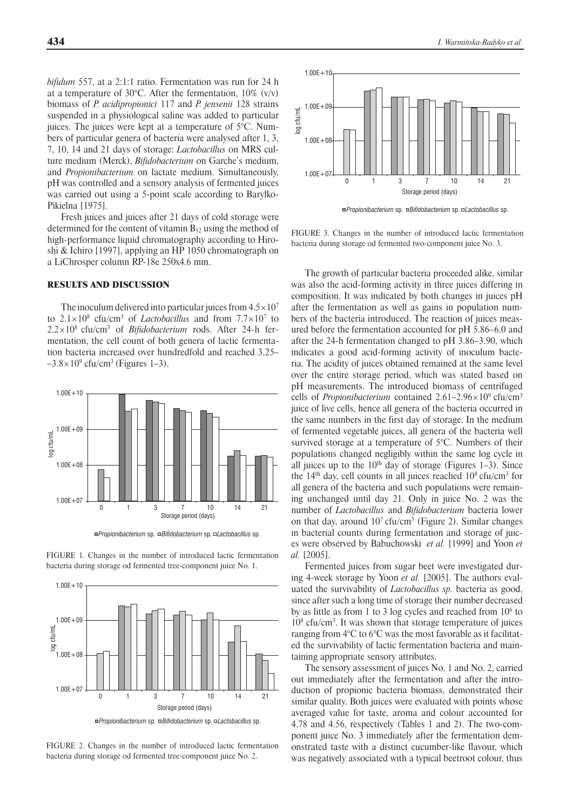*bifidum* 557, at a 2:1:1 ratio. Fermentation was run for 24 h at a temperature of 30 $\degree$ C. After the fermentation, 10% (v/v) biomass of *P. acidipropionici* 117 and *P. jensenii* 128 strains suspended in a physiological saline was added to particular juices. The juices were kept at a temperature of  $5^{\circ}$ C. Numbers of particular genera of bacteria were analysed after 1, 3, 7, 10, 14 and 21 days of storage: *Lactobacillus* on MRS culture medium (Merck), *Bifidobacterium* on Garche's medium, and *Propionibacterium* on lactate medium. Simultaneously, pH was controlled and a sensory analysis of fermented juices was carried out using a 5-point scale according to Baryłko-Pikielna [1975].

Fresh juices and juices after 21 days of cold storage were determined for the content of vitamin  $B_{12}$  using the method of high-performance liquid chromatography according to Hiroshi & Ichiro [1997], applying an HP 1050 chromatograph on a LiChrosper column RP-18e 250x4.6 mm.

## RESULTS AND DISCUSSION

The inoculum delivered into particular juices from  $4.5 \times 10^7$ to  $2.1 \times 10^8$  cfu/cm<sup>3</sup> of *Lactobacillus* and from  $7.7 \times 10^7$  to  $2.2 \times 10^8$  cfu/cm<sup>3</sup> of *Bifidobacterium* rods. After 24-h fermentation, the cell count of both genera of lactic fermentation bacteria increased over hundredfold and reached 3.25–  $-3.8 \times 10^9$  cfu/cm<sup>3</sup> (Figures 1–3).



*Propionibacterium* sp. *Bifidobacterium* sp. *Lactobacillus* sp.

FIGURE 1. Changes in the number of introduced lactic fermentation bacteria during storage od fermented tree-component juice No. 1.



FIGURE 2. Changes in the number of introduced lactic fermentation bacteria during storage od fermented tree-component juice No. 2.



*Propionibacterium* sp. *Bifidobacterium* sp. *Lactobacillus* sp.

FIGURE 3. Changes in the number of introduced lactic fermentation bacteria during storage od fermented two-component juice No. 3.

The growth of particular bacteria proceeded alike, similar was also the acid-forming activity in three juices differing in composition. It was indicated by both changes in juices pH after the fermentation as well as gains in population numbers of the bacteria introduced. The reaction of juices measured before the fermentation accounted for pH 5.86–6.0 and after the 24-h fermentation changed to pH 3.86–3.90, which indicates a good acid-forming activity of inoculum bacteria. The acidity of juices obtained remained at the same level over the entire storage period, which was stated based on pH measurements. The introduced biomass of centrifuged cells of *Propionibacterium* contained 2.61–2.96×109 cfu/cm3 juice of live cells, hence all genera of the bacteria occurred in the same numbers in the first day of storage. In the medium of fermented vegetable juices, all genera of the bacteria well survived storage at a temperature of 5°C. Numbers of their populations changed negligibly within the same log cycle in all juices up to the  $10<sup>th</sup>$  day of storage (Figures 1–3). Since the  $14<sup>th</sup>$  day, cell counts in all juices reached  $10<sup>8</sup>$  cfu/cm<sup>3</sup> for all genera of the bacteria and such populations were remaining unchanged until day 21. Only in juice No. 2 was the number of *Lactobacillus* and *Bifidobacterium* bacteria lower on that day, around  $10<sup>7</sup>$  cfu/cm<sup>3</sup> (Figure 2). Similar changes in bacterial counts during fermentation and storage of juices were observed by Babuchowski *et al.* [1999] and Yoon *et al.* [2005].

Fermented juices from sugar beet were investigated during 4-week storage by Yoon *et al.* [2005]. The authors evaluated the survivability of *Lactobacillus sp.* bacteria as good, since after such a long time of storage their number decreased by as little as from 1 to 3 log cycles and reached from  $10<sup>6</sup>$  to 108 cfu/cm3 . It was shown that storage temperature of juices ranging from 4°C to 6°C was the most favorable as it facilitated the survivability of lactic fermentation bacteria and maintaining appropriate sensory attributes.

The sensory assessment of juices No. 1 and No. 2, carried out immediately after the fermentation and after the introduction of propionic bacteria biomass, demonstrated their similar quality. Both juices were evaluated with points whose averaged value for taste, aroma and colour accounted for 4.78 and 4.56, respectively (Tables 1 and 2). The two-component juice No. 3 immediately after the fermentation demonstrated taste with a distinct cucumber-like flavour, which was negatively associated with a typical beetroot colour, thus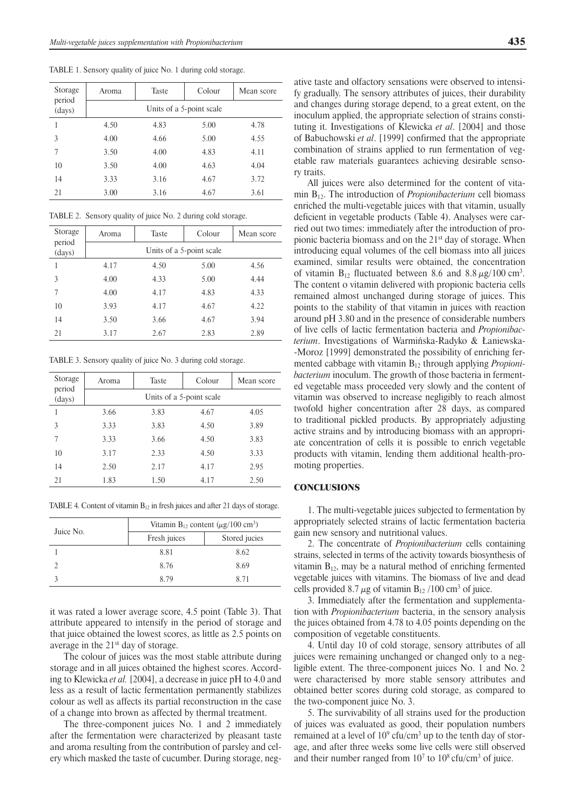TABLE 1. Sensory quality of juice No. 1 during cold storage.

| Storage          | Aroma                    | Taste | Colour | Mean score |
|------------------|--------------------------|-------|--------|------------|
| period<br>(days) | Units of a 5-point scale |       |        |            |
|                  | 4.50                     | 4.83  | 5.00   | 4.78       |
| 3                | 4.00                     | 4.66  | 5.00   | 4.55       |
| 7                | 3.50                     | 4.00  | 4.83   | 4.11       |
| 10               | 3.50                     | 4.00  | 4.63   | 4.04       |
| 14               | 3.33                     | 3.16  | 4.67   | 3.72       |
| 21               | 3.00                     | 3.16  | 4.67   | 3.61       |

TABLE 2. Sensory quality of juice No. 2 during cold storage.

| Storage          | Aroma                    | Taste | Colour | Mean score |  |
|------------------|--------------------------|-------|--------|------------|--|
| period<br>(days) | Units of a 5-point scale |       |        |            |  |
|                  | 4.17                     | 4.50  | 5.00   | 4.56       |  |
| 3                | 4.00                     | 4.33  | 5.00   | 4.44       |  |
| 7                | 4.00                     | 4.17  | 4.83   | 4.33       |  |
| 10               | 3.93                     | 4.17  | 4.67   | 4.22       |  |
| 14               | 3.50                     | 3.66  | 4.67   | 3.94       |  |
| 21               | 3.17                     | 2.67  | 2.83   | 2.89       |  |

TABLE 3. Sensory quality of juice No. 3 during cold storage.

| Storage          | Aroma                    | Taste | Colour | Mean score |  |
|------------------|--------------------------|-------|--------|------------|--|
| period<br>(days) | Units of a 5-point scale |       |        |            |  |
|                  | 3.66                     | 3.83  | 4.67   | 4.05       |  |
| 3                | 3.33                     | 3.83  | 4.50   | 3.89       |  |
| 7                | 3.33                     | 3.66  | 4.50   | 3.83       |  |
| 10               | 3.17                     | 2.33  | 4.50   | 3.33       |  |
| 14               | 2.50                     | 2.17  | 4.17   | 2.95       |  |
| 21               | 1.83                     | 1.50  | 4.17   | 2.50       |  |

TABLE 4. Content of vitamin  $B_{12}$  in fresh juices and after 21 days of storage.

|           | Vitamin $B_{12}$ content ( $\mu$ g/100 cm <sup>3</sup> ) |               |  |
|-----------|----------------------------------------------------------|---------------|--|
| Juice No. | Fresh juices                                             | Stored jucies |  |
|           | 8.81                                                     | 8.62          |  |
|           | 8.76                                                     | 8.69          |  |
|           | 8.79                                                     | 8 71          |  |
|           |                                                          |               |  |

it was rated a lower average score, 4.5 point (Table 3). That attribute appeared to intensify in the period of storage and that juice obtained the lowest scores, as little as 2.5 points on average in the 21<sup>st</sup> day of storage.

The colour of juices was the most stable attribute during storage and in all juices obtained the highest scores. According to Klewicka *et al.* [2004], a decrease in juice pH to 4.0 and less as a result of lactic fermentation permanently stabilizes colour as well as affects its partial reconstruction in the case of a change into brown as affected by thermal treatment.

The three-component juices No. 1 and 2 immediately after the fermentation were characterized by pleasant taste and aroma resulting from the contribution of parsley and celery which masked the taste of cucumber. During storage, negative taste and olfactory sensations were observed to intensify gradually. The sensory attributes of juices, their durability and changes during storage depend, to a great extent, on the inoculum applied, the appropriate selection of strains constituting it. Investigations of Klewicka *et al*. [2004] and those of Babuchowski *et al*. [1999] confirmed that the appropriate combination of strains applied to run fermentation of vegetable raw materials guarantees achieving desirable senso-

All juices were also determined for the content of vitamin B12. The introduction of *Propionibacterium* cell biomass enriched the multi-vegetable juices with that vitamin, usually deficient in vegetable products (Table 4). Analyses were carried out two times: immediately after the introduction of propionic bacteria biomass and on the 21st day of storage. When introducing equal volumes of the cell biomass into all juices examined, similar results were obtained, the concentration of vitamin  $B_{12}$  fluctuated between 8.6 and 8.8  $\mu$ g/100 cm<sup>3</sup>. The content o vitamin delivered with propionic bacteria cells remained almost unchanged during storage of juices. This points to the stability of that vitamin in juices with reaction around pH 3.80 and in the presence of considerable numbers of live cells of lactic fermentation bacteria and *Propionibacterium*. Investigations of Warmińska-Radyko & Łaniewska- -Moroz [1999] demonstrated the possibility of enriching fermented cabbage with vitamin B<sub>12</sub> through applying *Propionibacterium* inoculum. The growth of those bacteria in fermented vegetable mass proceeded very slowly and the content of vitamin was observed to increase negligibly to reach almost twofold higher concentration after 28 days, as compared to traditional pickled products. By appropriately adjusting active strains and by introducing biomass with an appropriate concentration of cells it is possible to enrich vegetable products with vitamin, lending them additional health-promoting properties.

#### **CONCLUSIONS**

ry traits.

1. The multi-vegetable juices subjected to fermentation by appropriately selected strains of lactic fermentation bacteria gain new sensory and nutritional values.

2. The concentrate of *Propionibacterium* cells containing strains, selected in terms of the activity towards biosynthesis of vitamin  $B_{12}$ , may be a natural method of enriching fermented vegetable juices with vitamins. The biomass of live and dead cells provided 8.7  $\mu$ g of vitamin B<sub>12</sub> /100 cm<sup>3</sup> of juice.

3. Immediately after the fermentation and supplementation with *Propionibacterium* bacteria, in the sensory analysis the juices obtained from 4.78 to 4.05 points depending on the composition of vegetable constituents.

4. Until day 10 of cold storage, sensory attributes of all juices were remaining unchanged or changed only to a negligible extent. The three-component juices No. 1 and No. 2 were characterised by more stable sensory attributes and obtained better scores during cold storage, as compared to the two-component juice No. 3.

5. The survivability of all strains used for the production of juices was evaluated as good, their population numbers remained at a level of  $10^9$  cfu/cm<sup>3</sup> up to the tenth day of storage, and after three weeks some live cells were still observed and their number ranged from  $10<sup>7</sup>$  to  $10<sup>8</sup>$  cfu/cm<sup>3</sup> of juice.